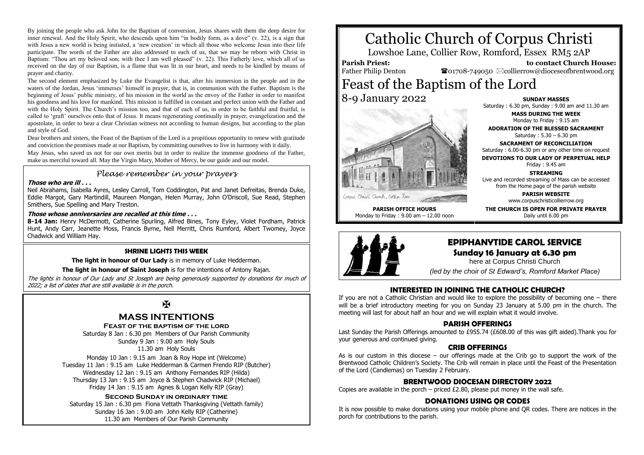By joining the people who ask John for the Baptism of conversion, Jesus shares with them the deep desire for inner renewal. And the Holy Spirit, who descends upon him "in bodily form, as a dove" (v. 22), is a sign that with Jesus a new world is being initiated, a 'new creation' in which all those who welcome Jesus into their life participate. The words of the Father are also addressed to each of us, that we may be reborn with Christ in Baptism: "Thou art my beloved son; with thee I am well pleased" (v. 22). This Fatherly love, which all of us received on the day of our Baptism, is a flame that was lit in our heart, and needs to be kindled by means of prayer and charity.

The second element emphasized by Luke the Evangelist is that, after his immersion in the people and in the waters of the Jordan, Jesus 'immerses' himself in prayer, that is, in communion with the Father. Baptism is the beginning of Jesus' public ministry, of his mission in the world as the envoy of the Father in order to manifest his goodness and his love for mankind. This mission is fulfilled in constant and perfect union with the Father and with the Holy Spirit. The Church's mission too, and that of each of us, in order to be faithful and fruitful, is called to 'graft' ourselves onto that of Jesus. It means regenerating continually in prayer, evangelization and the apostolate, in order to bear a clear Christian witness not according to human designs, but according to the plan and style of God.

Dear brothers and sisters, the Feast of the Baptism of the Lord is a propitious opportunity to renew with gratitude and conviction the promises made at our Baptism, by committing ourselves to live in harmony with it daily.

May Jesus, who saved us not for our own merits but in order to realize the immense goodness of the Father. make us merciful toward all. May the Virgin Mary, Mother of Mercy, be our guide and our model.

### *Please remember in your prayers*

#### **Those who are ill . . .**

Neil Abrahams, Isabella Ayres, Lesley Carroll, Tom Coddington, Pat and Janet Defreitas, Brenda Duke, Eddie Margot, Gary Martindill, Maureen Mongan, Helen Murray, John O'Driscoll, Sue Read, Stephen Smithers, Sue Spelling and Mary Treston.

#### **Those whose anniversaries are recalled at this time . . .**

**8-14 Jan:** Henry McDermott, Catherine Spurling, Alfred Bines, Tony Eyley, Violet Fordham, Patrick Hunt, Andy Carr, Jeanette Moss, Francis Byrne, Nell Merritt, Chris Rumford, Albert Twomey, Joyce Chadwick and William Hay.

#### **SHRINE LIGHTS THIS WEEK**

**The light in honour of Our Lady** is in memory of Luke Hedderman.

**The light in honour of Saint Joseph** is for the intentions of Antony Rajan.

The lights in honour of Our Lady and St Joseph are being generously supported by donations for much of 2022; a list of dates that are still available is in the porch.

## K

## **MASS INTENTIONS**

**Feast of the baptism of the lord**

Saturday 8 Jan : 6.30 pm Members of Our Parish Community Sunday 9 Jan : 9.00 am Holy Souls 11.30 am Holy Souls

Monday 10 Jan : 9.15 am Joan & Roy Hope int (Welcome) Tuesday 11 Jan : 9.15 am Luke Hedderman & Carmen Frendo RIP (Butcher) Wednesday 12 Jan : 9.15 am Anthony Fernandes RIP (Hilda) Thursday 13 Jan : 9.15 am Joyce & Stephen Chadwick RIP (Michael) Friday 14 Jan : 9.15 am Agnes & Logan Kelly RIP (Gray)

#### **Second Sunday in ordinary time**

Saturday 15 Jan : 6.30 pm Fiona Vettath Thanksgiving (Vettath family) Sunday 16 Jan : 9.00 am John Kelly RIP (Catherine) 11.30 am Members of Our Parish Community

# Catholic Church of Corpus Christi

Lowshoe Lane, Collier Row, Romford, Essex RM5 2AP

### **Parish Priest:**

Father Philip Denton

 **to contact Church House:**  $\mathbf{\Omega}_{01708\text{-}749050}$   $\boxtimes$  collierrow@dioceseofbrentwood.org

# Feast of the Baptism of the Lord 8-9 January 2022



Cornus Christi Church, Collier Row

**PARISH OFFICE HOURS** Monday to Friday : 9.00 am – 12.00 noon

**SUNDAY MASSES** Saturday : 6.30 pm, Sunday : 9.00 am and 11.30 am

**MASS DURING THE WEEK**

Monday to Friday : 9.15 am **ADORATION OF THE BLESSED SACRAMENT**

Saturday : 5.30 – 6.30 pm

**SACRAMENT OF RECONCILIATION** Saturday : 6.00-6.30 pm or any other time on request

**DEVOTIONS TO OUR LADY OF PERPETUAL HELP** Friday : 9.45 am

**STREAMING** Live and recorded streaming of Mass can be accessed

from the Home page of the parish website

**PARISH WEBSITE** www.corpuschristicollierrow.org

**THE CHURCH IS OPEN FOR PRIVATE PRAYER** Daily until 6.00 pm



# **EPIPHANYTIDE CAROL SERVICE**

# **Sunday 16 January at 6.30 pm**

here at Corpus Christi Church

*(led by the choir of St Edward's, Romford Market Place)*

#### **INTERESTED IN JOINING THE CATHOLIC CHURCH?**

If you are not a Catholic Christian and would like to explore the possibility of becoming one – there will be a brief introductory meeting for you on Sunday 23 January at 5.00 pm in the church. The meeting will last for about half an hour and we will explain what it would involve.

#### **PARISH OFFERINGS**

Last Sunday the Parish Offerings amounted to £955.74 (£608.00 of this was gift aided).Thank you for your generous and continued giving.

#### **CRIB OFFERINGS**

As is our custom in this diocese – our offerings made at the Crib go to support the work of the Brentwood Catholic Children's Society. The Crib will remain in place until the Feast of the Presentation of the Lord (Candlemas) on Tuesday 2 February.

#### **BRENTWOOD DIOCESAN DIRECTORY 2022**

Copies are available in the porch – priced  $£2.80$ , please put money in the wall safe.

#### **DONATIONS USING QR CODES**

It is now possible to make donations using your mobile phone and QR codes. There are notices in the porch for contributions to the parish.